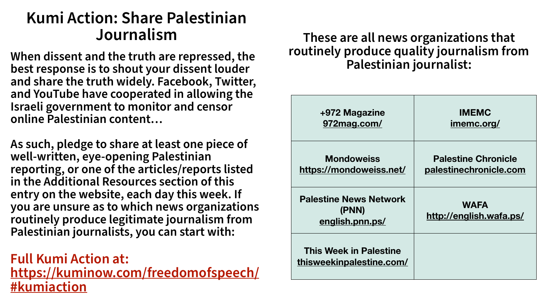| +972 Magazine<br>972mag.com/                              | <b>IMEMC</b><br>imemc.org/                           |
|-----------------------------------------------------------|------------------------------------------------------|
| <b>Mondoweiss</b><br>https://mondoweiss.net/              | <b>Palestine Chronicle</b><br>palestinechronicle.com |
| <b>Palestine News Network</b><br>(PNN)<br>english.pnn.ps/ | <b>WAFA</b><br>http://english.wafa.ps/               |
| <b>This Week in Palestine</b><br>thisweekinpalestine.com/ |                                                      |





#### **These are all news organizations that routinely produce quality journalism from Palestinian journalist:**

## **Kumi Action: Share Palestinian Journalism**

**When dissent and the truth are repressed, the best response is to shout your dissent louder and share the truth widely. Facebook, Twitter, and YouTube have cooperated in allowing the Israeli government to monitor and censor online Palestinian content…**

**As such, pledge to share at least one piece of well-written, eye-opening Palestinian reporting, or one of the articles/reports listed in the Additional Resources section of this entry on the website, each day this week. If you are unsure as to which news organizations routinely produce legitimate journalism from Palestinian journalists, you can start with:**

### **Full Kumi Action at: [https://kuminow.com/freedomofspeech/](https://kuminow.com/freedomofspeech/#kumiaction) [#kumiaction](https://kuminow.com/freedomofspeech/#kumiaction)**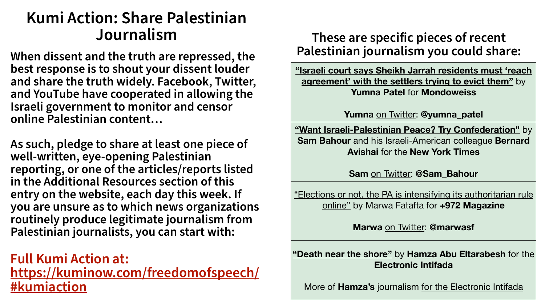# **Kumi Action: Share Palestinian**

## **Journalism These are specific pieces of recent**

**When dissent and the truth are repressed, the best response is to shout your dissent louder and share the truth widely. Facebook, Twitter, and YouTube have cooperated in allowing the Israeli government to monitor and censor online Palestinian content…**

**As such, pledge to share at least one piece of well-written, eye-opening Palestinian reporting, or one of the articles/reports listed in the Additional Resources section of this entry on the website, each day this week. If you are unsure as to which news organizations routinely produce legitimate journalism from Palestinian journalists, you can start with:**

### **Full Kumi Action at: [https://kuminow.com/freedomofspeech/](https://kuminow.com/freedomofspeech/#kumiaction) [#kumiaction](https://kuminow.com/freedomofspeech/#kumiaction)**

**["Israeli court says Sheikh Jarrah residents must 'reach](https://mondoweiss.net/2021/05/israeli-court-says-sheikh-jarrah-residents-must-reach-agreement-with-the-settlers-trying-to-evict-them/)  agreement' with the settlers trying to evict them"** by **Yumna Patel** for **Mondoweiss** 

**Yumna** [on Twitter](https://twitter.com/yumna_patel): **@yumna\_patel**

**["Want Israeli-Palestinian Peace? Try Confederation"](https://www.nytimes.com/2021/02/12/opinion/israel-palestinian-confederation.html)** by **Sam Bahour** and his Israeli-American colleague **Bernard Avishai** for the **New York Times**

**Sam** [on Twitter:](https://twitter.com/SamBahour) **@Sam\_Bahour**

["Elections or not, the PA is intensifying its authoritarian rule](https://www.972mag.com/palestinian-elections-authoritarianism-online/)  online" by Marwa Fatafta for **+972 Magazine**

**Marwa** [on Twitter](https://twitter.com/marwasf): **@marwasf**

**["Death near the shore"](https://electronicintifada.net/content/death-near-shore/32856)** by **Hamza Abu Eltarabesh** for the **Electronic Intifada**

More of **Hamza's** journalism [for the Electronic Intifada](https://electronicintifada.net/people/hamza-abu-eltarabesh)

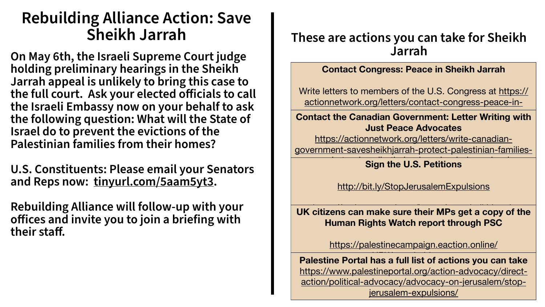# **Rebuilding Alliance Action: Save**

### These are actions you can take for Sheikh **Jarrah**

#### **Contact Congress: Peace in Sheikh Jarrah**

[Write letters to members of the U.S. Congress at https://](https://actionnetwork.org/letters/contact-congress-peace-in-sheikh-jarrah/) actionnetwork.org/letters/contact-congress-peace-in-

#### **Contact the Canadian Government: Letter Writing with Just Peace Advocates**

#### UK citizens can make sure their MPs get a copy of the **Human Rights Watch report through PSC**

https://actionnetwork.org/letters/write-canadian[government-savesheikhjarrah-protect-palestinian-families-](https://actionnetwork.org/letters/write-canadian-government-savesheikhjarrah-protect-palestinian-families-and-stop-israeli-ethnic-cleansing-in-jerusalem/)

#### **Sign the U.S. Petitions**

**Palestine Portal has a full list of actions you can take** [https://www.palestineportal.org/action-advocacy/direct](https://www.palestineportal.org/action-advocacy/direct-action/political-advocacy/advocacy-on-jerusalem/stop-jerusalem-expulsions/)action/political-advocacy/advocacy-on-jerusalem/stopjerusalem-expulsions/



<http://bit.ly/StopJerusalemExpulsions>

[https://palestinecampaign.eaction.online/](https://palestinecampaign.eaction.online/HRWapartheidreport)

**On May 6th, the Israeli Supreme Court judge holding preliminary hearings in the Sheikh Jarrah appeal is unlikely to bring this case to the full court. Ask your elected officials to call the Israeli Embassy now on your behalf to ask the following question: What will the State of Israel do to prevent the evictions of the Palestinian families from their homes?**

**U.S. Constituents: Please email your Senators and Reps now: [tinyurl.com/5aam5yt3.](http://tinyurl.com/5aam5yt3)**

**Rebuilding Alliance will follow-up with your offices and invite you to join a briefing with their staff.**